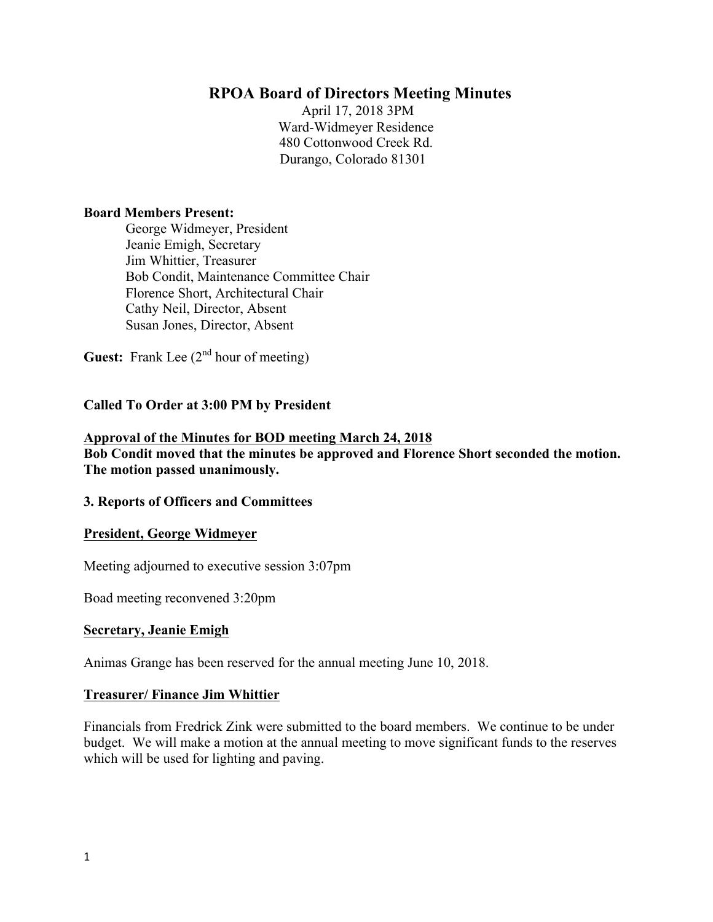## **RPOA Board of Directors Meeting Minutes**

April 17, 2018 3PM Ward-Widmeyer Residence 480 Cottonwood Creek Rd. Durango, Colorado 81301

#### **Board Members Present:**

George Widmeyer, President Jeanie Emigh, Secretary Jim Whittier, Treasurer Bob Condit, Maintenance Committee Chair Florence Short, Architectural Chair Cathy Neil, Director, Absent Susan Jones, Director, Absent

**Guest:** Frank Lee  $(2^{nd}$  hour of meeting)

### **Called To Order at 3:00 PM by President**

### **Approval of the Minutes for BOD meeting March 24, 2018 Bob Condit moved that the minutes be approved and Florence Short seconded the motion. The motion passed unanimously.**

### **3. Reports of Officers and Committees**

### **President, George Widmeyer**

Meeting adjourned to executive session 3:07pm

Boad meeting reconvened 3:20pm

### **Secretary, Jeanie Emigh**

Animas Grange has been reserved for the annual meeting June 10, 2018.

### **Treasurer/ Finance Jim Whittier**

Financials from Fredrick Zink were submitted to the board members. We continue to be under budget. We will make a motion at the annual meeting to move significant funds to the reserves which will be used for lighting and paving.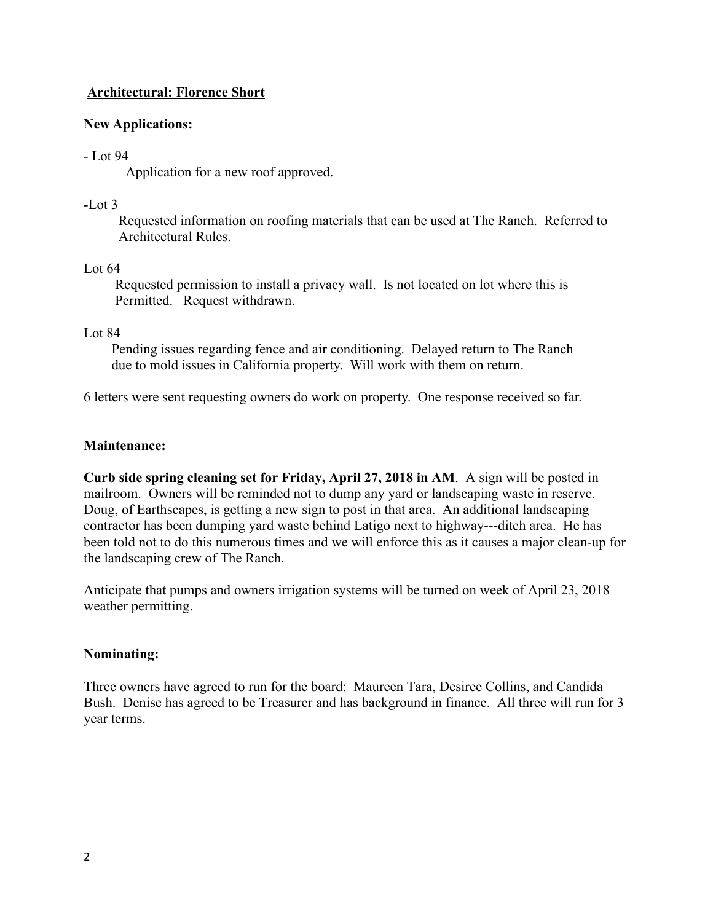## **Architectural: Florence Short**

## **New Applications:**

### - Lot 94

Application for a new roof approved.

## $-L$  of 3

Requested information on roofing materials that can be used at The Ranch. Referred to Architectural Rules.

## Lot 64

 Requested permission to install a privacy wall. Is not located on lot where this is Permitted. Request withdrawn.

## Lot 84

 Pending issues regarding fence and air conditioning. Delayed return to The Ranch due to mold issues in California property. Will work with them on return.

6 letters were sent requesting owners do work on property. One response received so far.

## **Maintenance:**

**Curb side spring cleaning set for Friday, April 27, 2018 in AM**. A sign will be posted in mailroom. Owners will be reminded not to dump any yard or landscaping waste in reserve. Doug, of Earthscapes, is getting a new sign to post in that area. An additional landscaping contractor has been dumping yard waste behind Latigo next to highway---ditch area. He has been told not to do this numerous times and we will enforce this as it causes a major clean-up for the landscaping crew of The Ranch.

Anticipate that pumps and owners irrigation systems will be turned on week of April 23, 2018 weather permitting.

### **Nominating:**

Three owners have agreed to run for the board: Maureen Tara, Desiree Collins, and Candida Bush. Denise has agreed to be Treasurer and has background in finance. All three will run for 3 year terms.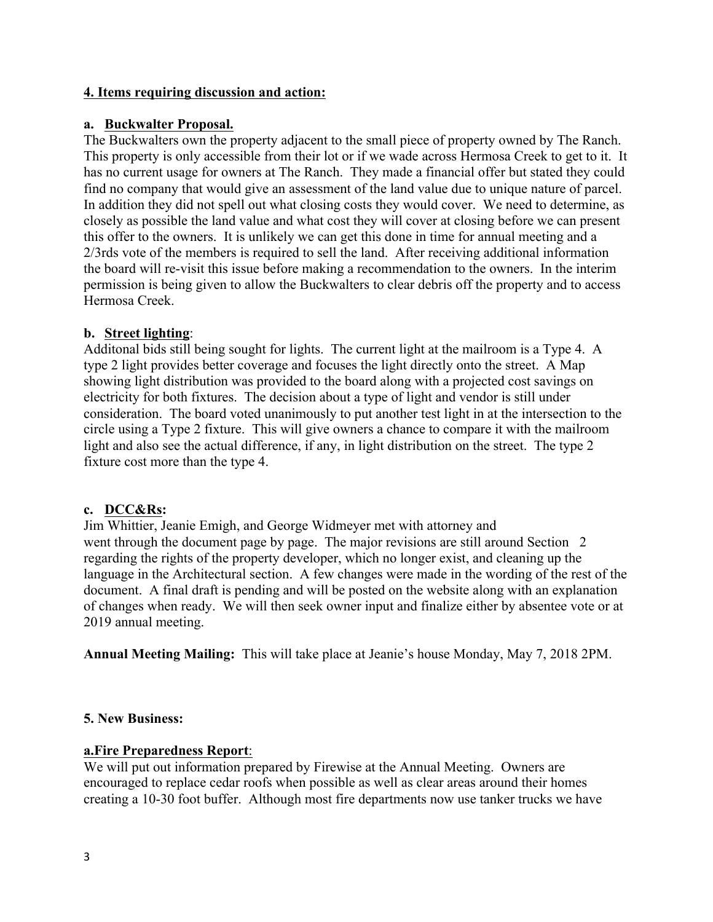## **4. Items requiring discussion and action:**

## **a. Buckwalter Proposal.**

The Buckwalters own the property adjacent to the small piece of property owned by The Ranch. This property is only accessible from their lot or if we wade across Hermosa Creek to get to it. It has no current usage for owners at The Ranch. They made a financial offer but stated they could find no company that would give an assessment of the land value due to unique nature of parcel. In addition they did not spell out what closing costs they would cover. We need to determine, as closely as possible the land value and what cost they will cover at closing before we can present this offer to the owners. It is unlikely we can get this done in time for annual meeting and a 2/3rds vote of the members is required to sell the land. After receiving additional information the board will re-visit this issue before making a recommendation to the owners. In the interim permission is being given to allow the Buckwalters to clear debris off the property and to access Hermosa Creek.

## **b. Street lighting**:

Additonal bids still being sought for lights. The current light at the mailroom is a Type 4. A type 2 light provides better coverage and focuses the light directly onto the street. A Map showing light distribution was provided to the board along with a projected cost savings on electricity for both fixtures. The decision about a type of light and vendor is still under consideration. The board voted unanimously to put another test light in at the intersection to the circle using a Type 2 fixture. This will give owners a chance to compare it with the mailroom light and also see the actual difference, if any, in light distribution on the street. The type 2 fixture cost more than the type 4.

### **c. DCC&Rs:**

Jim Whittier, Jeanie Emigh, and George Widmeyer met with attorney and went through the document page by page. The major revisions are still around Section 2 regarding the rights of the property developer, which no longer exist, and cleaning up the language in the Architectural section. A few changes were made in the wording of the rest of the document. A final draft is pending and will be posted on the website along with an explanation of changes when ready. We will then seek owner input and finalize either by absentee vote or at 2019 annual meeting.

**Annual Meeting Mailing:** This will take place at Jeanie's house Monday, May 7, 2018 2PM.

### **5. New Business:**

### **a.Fire Preparedness Report**:

We will put out information prepared by Firewise at the Annual Meeting. Owners are encouraged to replace cedar roofs when possible as well as clear areas around their homes creating a 10-30 foot buffer. Although most fire departments now use tanker trucks we have